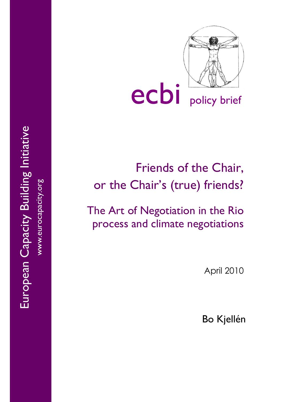

ecbi policy brief

# Friends of the Chair, or the Chair's (true) friends?

The Art of Negotiation in the Rio process and climate negotiations

April 2010

Bo Kjellén

European Capacity Building Initiative European Capacity Building Initiative www.eurocapacity.org www.eurocapacity.org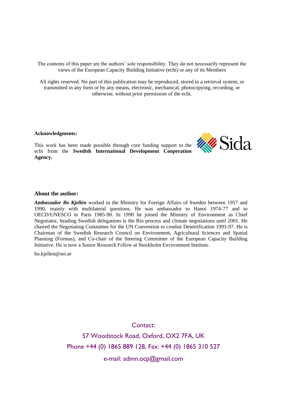The contents of this paper are the authors' sole responsibility. They do not necessarily represent the views of the European Capacity Building Initiative (ecbi) or any of its Members

All rights reserved. No part of this publication may be reproduced, stored in a retrieval system, or transmitted in any form or by any means, electronic, mechanical, photocopying, recording, or otherwise, without prior permission of the ecbi.

#### **Acknowledgments:**

This work has been made possible through core funding support to the ecbi from the **Swedish International Development Cooperation Agency.**



#### **About the author:**

*Ambassador Bo Kjellén* worked in the Ministry for Foreign Affairs of Sweden between 1957 and 1990, mainly with multilateral questions. He was ambassador to Hanoi 1974-77 and to OECD/UNESCO in Paris 1985-90. In 1990 he joined the Ministry of Environment as Chief Negotiator, heading Swedish delegations is the Rio process and climate negotiations until 2001. He chaired the Negotiating Committee for the UN Convention to combat Desertification 1993-97. He is Chairman of the Swedish Research Council on Environment, Agricultural Sciences and Spatial Planning (Formas), and Co-chair of the Steering Committee of the European Capacity Building Initiative. He is now a Senior Research Fellow at Stockholm Environment Institute.

bo.kjellen@sei.se

Contact:

57 Woodstock Road, Oxford, OX2 7FA, UK Phone +44 (0) 1865 889 128, Fax: +44 (0) 1865 310 527

e-mail: admn.ocp@gmail.com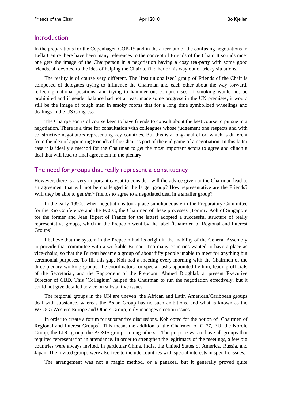#### **Introduction**

In the preparations for the Copenhagen COP-15 and in the aftermath of the confusing negotiations in Bella Centre there have been many references to the concept of Friends of the Chair. It sounds nice: one gets the image of the Chairperson in a negotiation having a cosy tea-party with some good friends, all devoted to the idea of helping the Chair to find her or his way out of tricky situations.

The reality is of course very different. The 'institutionalized' group of Friends of the Chair is composed of delegates trying to influence the Chairman and each other about the way forward, reflecting national positions, and trying to hammer out compromises. If smoking would not be prohibited and if gender balance had not at least made some progress in the UN premises, it would still be the image of tough men in smoky rooms that for a long time symbolized wheelings and dealings in the US Congress.

The Chairperson is of course keen to have friends to consult about the best course to pursue in a negotiation. There is a time for consultation with colleagues whose judgement one respects and with constructive negotiators representing key countries. But this is a long-haul effort which is different from the idea of appointing Friends of the Chair as part of the end game of a negotiation. In this latter case it is ideally a method for the Chairman to get the most important actors to agree and clinch a deal that will lead to final agreement in the plenary.

### The need for groups that really represent a constituency

However, there is a very important caveat to consider: will the advice given to the Chairman lead to an agreement that will not be challenged in the larger group? How representative are the Friends? Will they be able to get *their* friends to agree to a negotiated deal in a smaller group?

In the early 1990s, when negotiations took place simultaneously in the Preparatory Committee for the Rio Conference and the FCCC, the Chairmen of these processes (Tommy Koh of Singapore for the former and Jean Ripert of France for the latter) adopted a successful structure of really representative groups, which in the Prepcom went by the label 'Chairmen of Regional and Interest Groups'.

I believe that the system in the Prepcom had its origin in the inability of the General Assembly to provide that committee with a workable Bureau. Too many countries wanted to have a place as vice-chairs, so that the Bureau became a group of about fifty people unable to meet for anything but ceremonial purposes. To fill this gap, Koh had a meeting every morning with the Chairmen of the three plenary working groups, the coordinators for special tasks appointed by him, leading officials of the Secretariat, and the Rapporteur of the Prepcom, Ahmed Djoghlaf, at present Executive Director of CBD. This 'Collegium' helped the Chairman to run the negotiation effectively, but it could not give detailed advice on substantive issues.

The regional groups in the UN are uneven: the African and Latin American/Caribbean groups deal with substance, whereas the Asian Group has no such ambitions, and what is known as the WEOG (Western Europe and Others Group) only manages election issues.

In order to create a forum for substantive discussions, Koh opted for the notion of 'Chairmen of Regional and Interest Groups'. This meant the addition of the Chairmen of G 77, EU, the Nordic Group, the LDC group, the AOSIS group, among others. . The purpose was to have all groups that required representation in attendance. In order to strengthen the legitimacy of the meetings, a few big countries were always invited, in particular China, India, the United States of America, Russia, and Japan. The invited groups were also free to include countries with special interests in specific issues.

The arrangement was not a magic method, or a panacea, but it generally proved quite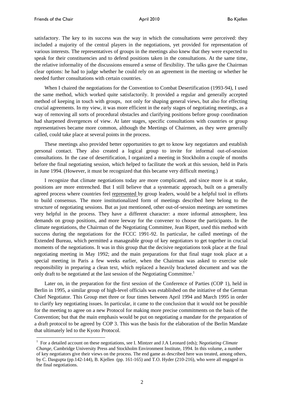$\overline{a}$ 

satisfactory. The key to its success was the way in which the consultations were perceived: they included a majority of the central players in the negotiations, yet provided for representation of various interests. The representatives of groups in the meetings also knew that they were expected to speak for their constituencies and to defend positions taken in the consultations. At the same time, the relative informality of the discussions ensured a sense of flexibility. The talks gave the Chairman clear options: he had to judge whether he could rely on an agreement in the meeting or whether he needed further consultations with certain countries.

When I chaired the negotiations for the Convention to Combat Desertification (1993-94), I used the same method, which worked quite satisfactorily. It provided a regular and generally accepted method of keeping in touch with groups, not only for shaping general views, but also for effecting crucial agreements. In my view, it was more efficient in the early stages of negotiating meetings, as a way of removing all sorts of procedural obstacles and clarifying positions before group coordination had sharpened divergences of view. At later stages, specific consultations with countries or group representatives became more common, although the Meetings of Chairmen, as they were generally called, could take place at several points in the process.

These meetings also provided better opportunities to get to know key negotiators and establish personal contact. They also created a logical group to invite for informal out-of-session consultations. In the case of desertification, I organized a meeting in Stockholm a couple of months before the final negotiating session, which helped to facilitate the work at this session, held in Paris in June 1994. (However, it must be recognized that this became very difficult meeting.)

I recognize that climate negotiations today are more complicated, and since more is at stake, positions are more entrenched. But I still believe that a systematic approach, built on a generally agreed process where countries feel represented by group leaders, would be a helpful tool in efforts to build consensus. The more institutionalized form of meetings described here belong to the structure of negotiating sessions. But as just mentioned, other out-of-session meetings are sometimes very helpful in the process. They have a different character: a more informal atmosphere, less demands on group positions, and more leeway for the convener to choose the participants. In the climate negotiations, the Chairman of the Negotiating Committee, Jean Ripert, used this method with success during the negotiations for the FCCC 1991-92. In particular, he called meetings of the Extended Bureau, which permitted a manageable group of key negotiators to get together in crucial moments of the negotiations. It was in this group that the decisive negotiations took place at the final negotiating meeting in May 1992; and the main preparations for that final stage took place at a special meeting in Paris a few weeks earlier, when the Chairman was asked to exercise sole responsibility in preparing a clean text, which replaced a heavily bracketed document and was the only draft to be negotiated at the last session of the Negotiating Committee.<sup>1</sup>

Later on, in the preparation for the first session of the Conference of Parties (COP 1), held in Berlin in 1995, a similar group of high-level officials was established on the initiative of the German Chief Negotiator. This Group met three or four times between April 1994 and March 1995 in order to clarify key negotiating issues. In particular, it came to the conclusion that it would not be possible for the meeting to agree on a new Protocol for making more precise commitments on the basis of the Convention; but that the main emphasis would be put on negotiating a mandate for the preparation of a draft protocol to be agreed by COP 3. This was the basis for the elaboration of the Berlin Mandate that ultimately led to the Kyoto Protocol.

<sup>&</sup>lt;sup>1</sup> For a detailed account on these negotiations, see I. Mintzer and J.A Leonard (eds); *Negotiating Climate Change*, Cambridge University Press and Stockholm Environment Institute, 1994. In this volume, a number of key negotiators give their views on the process. The end game as described here was treated, among others, by C. Dasgupta (pp.142-144), B. Kjellen (pp. 161-165) and T.O. Hyder (210-216), who were all engaged in the final negotiations.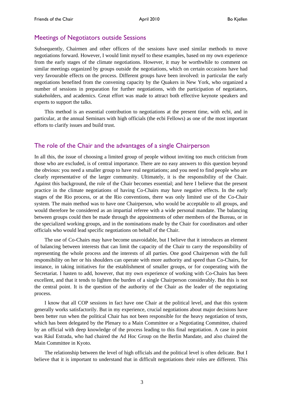## Meetings of Negotiators outside Sessions

Subsequently, Chairmen and other officers of the sessions have used similar methods to move negotiations forward. However, I would limit myself to these examples, based on my own experience from the early stages of the climate negotiations. However, it may be worthwhile to comment on similar meetings organized by groups outside the negotiations, which on certain occasions have had very favourable effects on the process. Different groups have been involved: in particular the early negotiations benefited from the convening capacity by the Quakers in New York, who organized a number of sessions in preparation for further negotiations, with the participation of negotiators, stakeholders, and academics. Great effort was made to attract both effective keynote speakers and experts to support the talks.

This method is an essential contribution to negotiations at the present time, with ecbi, and in particular, at the annual Seminars with high officials (the ecbi Fellows) as one of the most important efforts to clarify issues and build trust.

## The role of the Chair and the advantages of a single Chairperson

In all this, the issue of choosing a limited group of people without inviting too much criticism from those who are excluded, is of central importance. There are no easy answers to this question beyond the obvious: you need a smaller group to have real negotiations; and you need to find people who are clearly representative of the larger community. Ultimately, it is the responsibility of the Chair. Against this background, the role of the Chair becomes essential; and here I believe that the present practice in the climate negotiations of having Co-Chairs may have negative effects. In the early stages of the Rio process, or at the Rio conventions, there was only limited use of the Co-Chair system. The main method was to have one Chairperson, who would be acceptable to all groups, and would therefore be considered as an impartial referee with a wide personal mandate. The balancing between groups could then be made through the appointments of other members of the Bureau, or in the specialized working groups, and in the nominations made by the Chair for coordinators and other officials who would lead specific negotiations on behalf of the Chair.

The use of Co-Chairs may have become unavoidable, but I believe that it introduces an element of balancing between interests that can limit the capacity of the Chair to carry the responsibility of representing the whole process and the interests of all parties. One good Chairperson with the full responsibility on her or his shoulders can operate with more authority and speed than Co-Chairs, for instance, in taking initiatives for the establishment of smaller groups, or for cooperating with the Secretariat. I hasten to add, however, that my own experience of working with Co-Chairs has been excellent, and that it tends to lighten the burden of a single Chairperson considerably. But this is not the central point. It is the question of the authority of the Chair as the leader of the negotiating process.

I know that all COP sessions in fact have one Chair at the political level, and that this system generally works satisfactorily. But in my experience, crucial negotiations about major decisions have been better run when the political Chair has not been responsible for the heavy negotiation of texts, which has been delegated by the Plenary to a Main Committee or a Negotiating Committee, chaired by an official with deep knowledge of the process leading to this final negotiation. A case in point was Rául Estrada, who had chaired the Ad Hoc Group on the Berlin Mandate, and also chaired the Main Committee in Kyoto.

The relationship between the level of high officials and the political level is often delicate. But I believe that it is important to understand that in difficult negotiations their roles are different. This